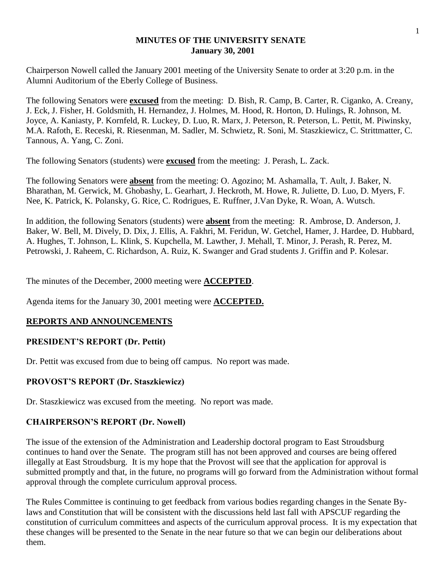## **MINUTES OF THE UNIVERSITY SENATE January 30, 2001**

Chairperson Nowell called the January 2001 meeting of the University Senate to order at 3:20 p.m. in the Alumni Auditorium of the Eberly College of Business.

The following Senators were **excused** from the meeting: D. Bish, R. Camp, B. Carter, R. Ciganko, A. Creany, J. Eck, J. Fisher, H. Goldsmith, H. Hernandez, J. Holmes, M. Hood, R. Horton, D. Hulings, R. Johnson, M. Joyce, A. Kaniasty, P. Kornfeld, R. Luckey, D. Luo, R. Marx, J. Peterson, R. Peterson, L. Pettit, M. Piwinsky, M.A. Rafoth, E. Receski, R. Riesenman, M. Sadler, M. Schwietz, R. Soni, M. Staszkiewicz, C. Strittmatter, C. Tannous, A. Yang, C. Zoni.

The following Senators (students) were **excused** from the meeting: J. Perash, L. Zack.

The following Senators were **absent** from the meeting: O. Agozino; M. Ashamalla, T. Ault, J. Baker, N. Bharathan, M. Gerwick, M. Ghobashy, L. Gearhart, J. Heckroth, M. Howe, R. Juliette, D. Luo, D. Myers, F. Nee, K. Patrick, K. Polansky, G. Rice, C. Rodrigues, E. Ruffner, J.Van Dyke, R. Woan, A. Wutsch.

In addition, the following Senators (students) were **absent** from the meeting: R. Ambrose, D. Anderson, J. Baker, W. Bell, M. Dively, D. Dix, J. Ellis, A. Fakhri, M. Feridun, W. Getchel, Hamer, J. Hardee, D. Hubbard, A. Hughes, T. Johnson, L. Klink, S. Kupchella, M. Lawther, J. Mehall, T. Minor, J. Perash, R. Perez, M. Petrowski, J. Raheem, C. Richardson, A. Ruiz, K. Swanger and Grad students J. Griffin and P. Kolesar.

The minutes of the December, 2000 meeting were **ACCEPTED**.

Agenda items for the January 30, 2001 meeting were **ACCEPTED.**

# **REPORTS AND ANNOUNCEMENTS**

# **PRESIDENT'S REPORT (Dr. Pettit)**

Dr. Pettit was excused from due to being off campus. No report was made.

# **PROVOST'S REPORT (Dr. Staszkiewicz)**

Dr. Staszkiewicz was excused from the meeting. No report was made.

# **CHAIRPERSON'S REPORT (Dr. Nowell)**

The issue of the extension of the Administration and Leadership doctoral program to East Stroudsburg continues to hand over the Senate. The program still has not been approved and courses are being offered illegally at East Stroudsburg. It is my hope that the Provost will see that the application for approval is submitted promptly and that, in the future, no programs will go forward from the Administration without formal approval through the complete curriculum approval process.

The Rules Committee is continuing to get feedback from various bodies regarding changes in the Senate Bylaws and Constitution that will be consistent with the discussions held last fall with APSCUF regarding the constitution of curriculum committees and aspects of the curriculum approval process. It is my expectation that these changes will be presented to the Senate in the near future so that we can begin our deliberations about them.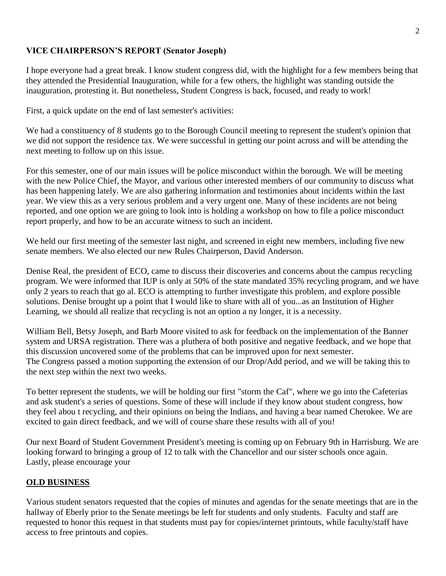# **VICE CHAIRPERSON'S REPORT (Senator Joseph)**

I hope everyone had a great break. I know student congress did, with the highlight for a few members being that they attended the Presidential Inauguration, while for a few others, the highlight was standing outside the inauguration, protesting it. But nonetheless, Student Congress is back, focused, and ready to work!

First, a quick update on the end of last semester's activities:

We had a constituency of 8 students go to the Borough Council meeting to represent the student's opinion that we did not support the residence tax. We were successful in getting our point across and will be attending the next meeting to follow up on this issue.

For this semester, one of our main issues will be police misconduct within the borough. We will be meeting with the new Police Chief, the Mayor, and various other interested members of our community to discuss what has been happening lately. We are also gathering information and testimonies about incidents within the last year. We view this as a very serious problem and a very urgent one. Many of these incidents are not being reported, and one option we are going to look into is holding a workshop on how to file a police misconduct report properly, and how to be an accurate witness to such an incident.

We held our first meeting of the semester last night, and screened in eight new members, including five new senate members. We also elected our new Rules Chairperson, David Anderson.

Denise Real, the president of ECO, came to discuss their discoveries and concerns about the campus recycling program. We were informed that IUP is only at 50% of the state mandated 35% recycling program, and we have only 2 years to reach that go al. ECO is attempting to further investigate this problem, and explore possible solutions. Denise brought up a point that I would like to share with all of you...as an Institution of Higher Learning, we should all realize that recycling is not an option a ny longer, it is a necessity.

William Bell, Betsy Joseph, and Barb Moore visited to ask for feedback on the implementation of the Banner system and URSA registration. There was a pluthera of both positive and negative feedback, and we hope that this discussion uncovered some of the problems that can be improved upon for next semester. The Congress passed a motion supporting the extension of our Drop/Add period, and we will be taking this to the next step within the next two weeks.

To better represent the students, we will be holding our first "storm the Caf", where we go into the Cafeterias and ask student's a series of questions. Some of these will include if they know about student congress, how they feel abou t recycling, and their opinions on being the Indians, and having a bear named Cherokee. We are excited to gain direct feedback, and we will of course share these results with all of you!

Our next Board of Student Government President's meeting is coming up on February 9th in Harrisburg. We are looking forward to bringing a group of 12 to talk with the Chancellor and our sister schools once again. Lastly, please encourage your

## **OLD BUSINESS**

Various student senators requested that the copies of minutes and agendas for the senate meetings that are in the hallway of Eberly prior to the Senate meetings be left for students and only students. Faculty and staff are requested to honor this request in that students must pay for copies/internet printouts, while faculty/staff have access to free printouts and copies.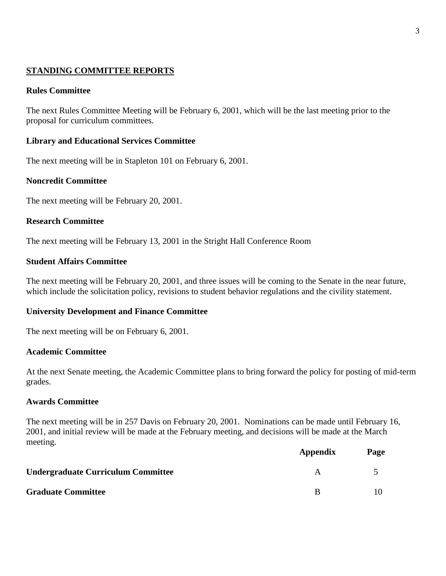## **STANDING COMMITTEE REPORTS**

## **Rules Committee**

The next Rules Committee Meeting will be February 6, 2001, which will be the last meeting prior to the proposal for curriculum committees.

## **Library and Educational Services Committee**

The next meeting will be in Stapleton 101 on February 6, 2001.

## **Noncredit Committee**

The next meeting will be February 20, 2001.

## **Research Committee**

The next meeting will be February 13, 2001 in the Stright Hall Conference Room

## **Student Affairs Committee**

The next meeting will be February 20, 2001, and three issues will be coming to the Senate in the near future, which include the solicitation policy, revisions to student behavior regulations and the civility statement.

## **University Development and Finance Committee**

The next meeting will be on February 6, 2001.

## **Academic Committee**

At the next Senate meeting, the Academic Committee plans to bring forward the policy for posting of mid-term grades.

## **Awards Committee**

The next meeting will be in 257 Davis on February 20, 2001. Nominations can be made until February 16, 2001, and initial review will be made at the February meeting, and decisions will be made at the March meeting.

|                                           | Appendix | Page |
|-------------------------------------------|----------|------|
| <b>Undergraduate Curriculum Committee</b> | A        |      |
| <b>Graduate Committee</b>                 | B        |      |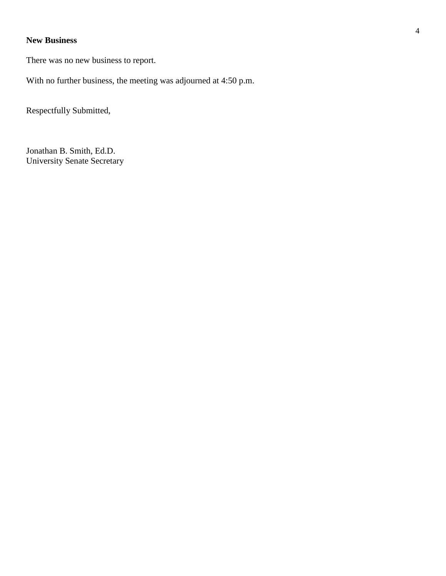# **New Business**

There was no new business to report.

With no further business, the meeting was adjourned at 4:50 p.m.

Respectfully Submitted,

Jonathan B. Smith, Ed.D. University Senate Secretary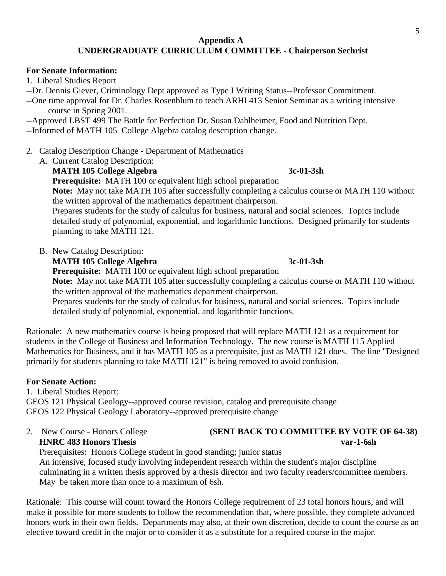## **For Senate Information:**

1. Liberal Studies Report

- --Dr. Dennis Giever, Criminology Dept approved as Type I Writing Status--Professor Commitment.
- --One time approval for Dr. Charles Rosenblum to teach ARHI 413 Senior Seminar as a writing intensive course in Spring 2001.

--Approved LBST 499 The Battle for Perfection Dr. Susan Dahlheimer, Food and Nutrition Dept.

--Informed of MATH 105 College Algebra catalog description change.

- 2. Catalog Description Change Department of Mathematics
	- A. Current Catalog Description:
		- **MATH 105 College Algebra 3c-01-3sh**

**Prerequisite:** MATH 100 or equivalent high school preparation

**Note:** May not take MATH 105 after successfully completing a calculus course or MATH 110 without the written approval of the mathematics department chairperson.

Prepares students for the study of calculus for business, natural and social sciences. Topics include detailed study of polynomial, exponential, and logarithmic functions. Designed primarily for students planning to take MATH 121.

B. New Catalog Description:

**MATH 105 College Algebra** 3c-01-3sh

**Prerequisite:** MATH 100 or equivalent high school preparation

**Note:** May not take MATH 105 after successfully completing a calculus course or MATH 110 without the written approval of the mathematics department chairperson.

Prepares students for the study of calculus for business, natural and social sciences. Topics include detailed study of polynomial, exponential, and logarithmic functions.

Rationale: A new mathematics course is being proposed that will replace MATH 121 as a requirement for students in the College of Business and Information Technology. The new course is MATH 115 Applied Mathematics for Business, and it has MATH 105 as a prerequisite, just as MATH 121 does. The line "Designed primarily for students planning to take MATH 121" is being removed to avoid confusion.

# **For Senate Action:**

1. Liberal Studies Report: GEOS 121 Physical Geology--approved course revision, catalog and prerequisite change GEOS 122 Physical Geology Laboratory--approved prerequisite change

2. New Course - Honors College **(SENT BACK TO COMMITTEE BY VOTE OF 64-38) HNRC 483 Honors Thesis var-1-6sh**

 Prerequisites: Honors College student in good standing; junior status An intensive, focused study involving independent research within the student's major discipline culminating in a written thesis approved by a thesis director and two faculty readers/committee members. May be taken more than once to a maximum of 6sh.

Rationale: This course will count toward the Honors College requirement of 23 total honors hours, and will make it possible for more students to follow the recommendation that, where possible, they complete advanced honors work in their own fields. Departments may also, at their own discretion, decide to count the course as an elective toward credit in the major or to consider it as a substitute for a required course in the major.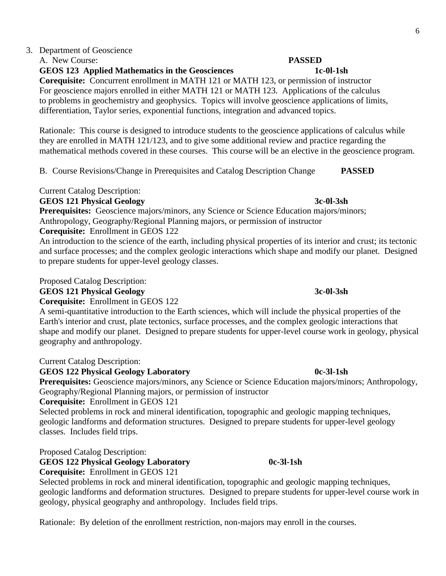### 3. Department of Geoscience A. New Course: **PASSED**

**GEOS 123 Applied Mathematics in the Geosciences 1c-0l-1sh**

**Corequisite:** Concurrent enrollment in MATH 121 or MATH 123, or permission of instructor For geoscience majors enrolled in either MATH 121 or MATH 123. Applications of the calculus to problems in geochemistry and geophysics. Topics will involve geoscience applications of limits, differentiation, Taylor series, exponential functions, integration and advanced topics.

 Rationale: This course is designed to introduce students to the geoscience applications of calculus while they are enrolled in MATH 121/123, and to give some additional review and practice regarding the mathematical methods covered in these courses. This course will be an elective in the geoscience program.

B. Course Revisions/Change in Prerequisites and Catalog Description Change **PASSED**

Current Catalog Description:

**GEOS 121 Physical Geology 3c-0l-3sh**

**Prerequisites:** Geoscience majors/minors, any Science or Science Education majors/minors; Anthropology, Geography/Regional Planning majors, or permission of instructor **Corequisite:** Enrollment in GEOS 122

An introduction to the science of the earth, including physical properties of its interior and crust; its tectonic and surface processes; and the complex geologic interactions which shape and modify our planet. Designed to prepare students for upper-level geology classes.

Proposed Catalog Description:

### **GEOS 121 Physical Geology 3c-0l-3sh**

**Corequisite:** Enrollment in GEOS 122

A semi-quantitative introduction to the Earth sciences, which will include the physical properties of the Earth's interior and crust, plate tectonics, surface processes, and the complex geologic interactions that shape and modify our planet. Designed to prepare students for upper-level course work in geology, physical geography and anthropology.

Current Catalog Description:

## GEOS 122 Physical Geology Laboratory 0c-3l-1sh

**Prerequisites:** Geoscience majors/minors, any Science or Science Education majors/minors; Anthropology, Geography/Regional Planning majors, or permission of instructor

**Corequisite:** Enrollment in GEOS 121

Selected problems in rock and mineral identification, topographic and geologic mapping techniques, geologic landforms and deformation structures. Designed to prepare students for upper-level geology classes. Includes field trips.

Proposed Catalog Description:

# **GEOS 122 Physical Geology Laboratory 0c-3l-1sh**

**Corequisite:** Enrollment in GEOS 121

Selected problems in rock and mineral identification, topographic and geologic mapping techniques, geologic landforms and deformation structures. Designed to prepare students for upper-level course work in geology, physical geography and anthropology. Includes field trips.

Rationale: By deletion of the enrollment restriction, non-majors may enroll in the courses.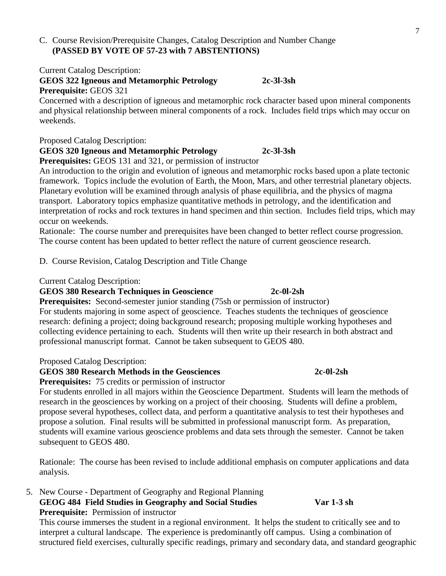# C. Course Revision/Prerequisite Changes, Catalog Description and Number Change **(PASSED BY VOTE OF 57-23 with 7 ABSTENTIONS)**

Current Catalog Description:

# **GEOS 322 Igneous and Metamorphic Petrology 2c-3l-3sh Prerequisite:** GEOS 321

Concerned with a description of igneous and metamorphic rock character based upon mineral components and physical relationship between mineral components of a rock. Includes field trips which may occur on weekends.

# Proposed Catalog Description:

**GEOS 320 Igneous and Metamorphic Petrology 2c-3l-3sh**

**Prerequisites:** GEOS 131 and 321, or permission of instructor

An introduction to the origin and evolution of igneous and metamorphic rocks based upon a plate tectonic framework. Topics include the evolution of Earth, the Moon, Mars, and other terrestrial planetary objects. Planetary evolution will be examined through analysis of phase equilibria, and the physics of magma transport. Laboratory topics emphasize quantitative methods in petrology, and the identification and interpretation of rocks and rock textures in hand specimen and thin section. Includes field trips, which may occur on weekends.

Rationale: The course number and prerequisites have been changed to better reflect course progression. The course content has been updated to better reflect the nature of current geoscience research.

D. Course Revision, Catalog Description and Title Change

Current Catalog Description:

# **GEOS 380 Research Techniques in Geoscience 2c-0l-2sh**

**Prerequisites:** Second-semester junior standing (75sh or permission of instructor) For students majoring in some aspect of geoscience. Teaches students the techniques of geoscience research: defining a project; doing background research; proposing multiple working hypotheses and collecting evidence pertaining to each. Students will then write up their research in both abstract and professional manuscript format. Cannot be taken subsequent to GEOS 480.

# Proposed Catalog Description:

# **GEOS 380 Research Methods in the Geosciences 2c-0l-2sh**

**Prerequisites:** 75 credits or permission of instructor

For students enrolled in all majors within the Geoscience Department. Students will learn the methods of research in the geosciences by working on a project of their choosing. Students will define a problem, propose several hypotheses, collect data, and perform a quantitative analysis to test their hypotheses and propose a solution. Final results will be submitted in professional manuscript form. As preparation, students will examine various geoscience problems and data sets through the semester. Cannot be taken subsequent to GEOS 480.

Rationale: The course has been revised to include additional emphasis on computer applications and data analysis.

5. New Course - Department of Geography and Regional Planning **GEOG 484 Field Studies in Geography and Social Studies Var 1-3 sh Prerequisite:** Permission of instructor

This course immerses the student in a regional environment. It helps the student to critically see and to interpret a cultural landscape. The experience is predominantly off campus. Using a combination of structured field exercises, culturally specific readings, primary and secondary data, and standard geographic

7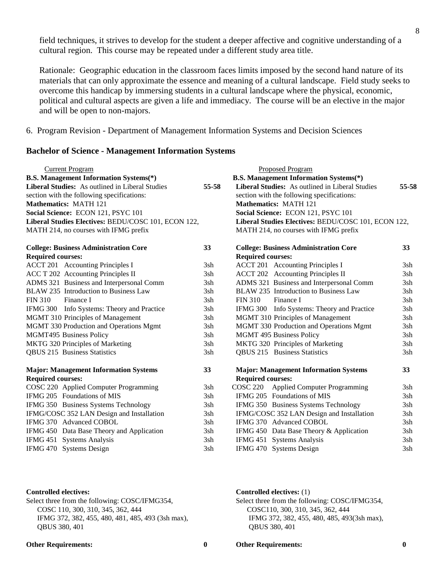field techniques, it strives to develop for the student a deeper affective and cognitive understanding of a cultural region. This course may be repeated under a different study area title.

Rationale: Geographic education in the classroom faces limits imposed by the second hand nature of its materials that can only approximate the essence and meaning of a cultural landscape. Field study seeks to overcome this handicap by immersing students in a cultural landscape where the physical, economic, political and cultural aspects are given a life and immediacy. The course will be an elective in the major and will be open to non-majors.

6. Program Revision - Department of Management Information Systems and Decision Sciences

### **Bachelor of Science - Management Information Systems**

| <b>Current Program</b><br><b>B.S. Management Information Systems</b> (*)<br>Liberal Studies: As outlined in Liberal Studies<br>section with the following specifications:<br>Mathematics: MATH 121<br>Social Science: ECON 121, PSYC 101<br>Liberal Studies Electives: BEDU/COSC 101, ECON 122,<br>MATH 214, no courses with IFMG prefix | 55-58 | <b>Proposed Program</b><br><b>B.S. Management Information Systems</b> (*)<br>Liberal Studies: As outlined in Liberal Studies<br>section with the following specifications:<br>Mathematics: MATH 121<br>Social Science: ECON 121, PSYC 101<br>Liberal Studies Electives: BEDU/COSC 101, ECON 122,<br>MATH 214, no courses with IFMG prefix | 55-58 |
|------------------------------------------------------------------------------------------------------------------------------------------------------------------------------------------------------------------------------------------------------------------------------------------------------------------------------------------|-------|-------------------------------------------------------------------------------------------------------------------------------------------------------------------------------------------------------------------------------------------------------------------------------------------------------------------------------------------|-------|
| <b>College: Business Administration Core</b>                                                                                                                                                                                                                                                                                             | 33    | <b>College: Business Administration Core</b>                                                                                                                                                                                                                                                                                              | 33    |
| <b>Required courses:</b>                                                                                                                                                                                                                                                                                                                 |       | <b>Required courses:</b>                                                                                                                                                                                                                                                                                                                  |       |
| <b>ACCT 201</b> Accounting Principles I                                                                                                                                                                                                                                                                                                  | 3sh   | <b>ACCT 201</b> Accounting Principles I                                                                                                                                                                                                                                                                                                   | 3sh   |
| ACC T 202 Accounting Principles II                                                                                                                                                                                                                                                                                                       | 3sh   | <b>ACCT 202</b> Accounting Principles II                                                                                                                                                                                                                                                                                                  | 3sh   |
| ADMS 321 Business and Interpersonal Comm                                                                                                                                                                                                                                                                                                 | 3sh   | ADMS 321 Business and Interpersonal Comm                                                                                                                                                                                                                                                                                                  | 3sh   |
| BLAW 235 Introduction to Business Law                                                                                                                                                                                                                                                                                                    | 3sh   | BLAW 235 Introduction to Business Law                                                                                                                                                                                                                                                                                                     | 3sh   |
| <b>FIN 310</b><br>Finance I                                                                                                                                                                                                                                                                                                              | 3sh   | Finance I<br><b>FIN 310</b>                                                                                                                                                                                                                                                                                                               | 3sh   |
| IFMG 300 Info Systems: Theory and Practice                                                                                                                                                                                                                                                                                               | 3sh   | IFMG 300 Info Systems: Theory and Practice                                                                                                                                                                                                                                                                                                | 3sh   |
| MGMT 310 Principles of Management                                                                                                                                                                                                                                                                                                        | 3sh   | MGMT 310 Principles of Management                                                                                                                                                                                                                                                                                                         | 3sh   |
| MGMT 330 Production and Operations Mgmt                                                                                                                                                                                                                                                                                                  | 3sh   | MGMT 330 Production and Operations Mgmt                                                                                                                                                                                                                                                                                                   | 3sh   |
| MGMT495 Business Policy                                                                                                                                                                                                                                                                                                                  | 3sh   | MGMT 495 Business Policy                                                                                                                                                                                                                                                                                                                  | 3sh   |
| MKTG 320 Principles of Marketing                                                                                                                                                                                                                                                                                                         | 3sh   | MKTG 320 Principles of Marketing                                                                                                                                                                                                                                                                                                          | 3sh   |
| QBUS 215 Business Statistics                                                                                                                                                                                                                                                                                                             | 3sh   | QBUS 215 Business Statistics                                                                                                                                                                                                                                                                                                              | 3sh   |
| <b>Major: Management Information Systems</b>                                                                                                                                                                                                                                                                                             | 33    | <b>Major: Management Information Systems</b>                                                                                                                                                                                                                                                                                              | 33    |
| <b>Required courses:</b>                                                                                                                                                                                                                                                                                                                 |       | <b>Required courses:</b>                                                                                                                                                                                                                                                                                                                  |       |
| COSC 220 Applied Computer Programming                                                                                                                                                                                                                                                                                                    | 3sh   | COSC 220 Applied Computer Programming                                                                                                                                                                                                                                                                                                     | 3sh   |
| IFMG 205 Foundations of MIS                                                                                                                                                                                                                                                                                                              | 3sh   | IFMG 205 Foundations of MIS                                                                                                                                                                                                                                                                                                               | 3sh   |
| IFMG 350 Business Systems Technology                                                                                                                                                                                                                                                                                                     | 3sh   | IFMG 350 Business Systems Technology                                                                                                                                                                                                                                                                                                      | 3sh   |
| IFMG/COSC 352 LAN Design and Installation                                                                                                                                                                                                                                                                                                | 3sh   | IFMG/COSC 352 LAN Design and Installation                                                                                                                                                                                                                                                                                                 | 3sh   |
| IFMG 370 Advanced COBOL                                                                                                                                                                                                                                                                                                                  | 3sh   | IFMG 370 Advanced COBOL                                                                                                                                                                                                                                                                                                                   | 3sh   |
| IFMG 450 Data Base Theory and Application                                                                                                                                                                                                                                                                                                | 3sh   | IFMG 450 Data Base Theory & Application                                                                                                                                                                                                                                                                                                   | 3sh   |
| IFMG 451 Systems Analysis                                                                                                                                                                                                                                                                                                                | 3sh   | IFMG 451 Systems Analysis                                                                                                                                                                                                                                                                                                                 | 3sh   |
| IFMG 470 Systems Design                                                                                                                                                                                                                                                                                                                  | 3sh   | IFMG 470 Systems Design                                                                                                                                                                                                                                                                                                                   | 3sh   |

 COSC 110, 300, 310, 345, 362, 444 COSC110, 300, 310, 345, 362, 444 IFMG 372, 382, 455, 480, 481, 485, 493 (3sh max), IFMG 372, 382, 455, 480, 485, 493(3sh max), QBUS 380, 401 QBUS 380, 401

### **Controlled electives: Controlled electives:** (1)

Select three from the following: COSC/IFMG354, Select three from the following: COSC/IFMG354,

### **Other Requirements: 0 Other Requirements: 0**

8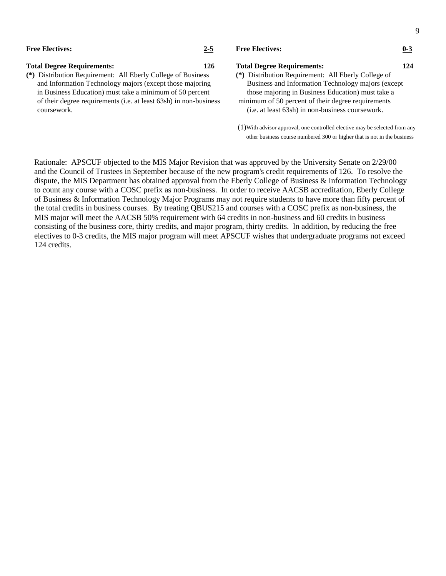| <b>Free Electives:</b>                                       | $2 - 5$ | <b>Free Electives:</b>                              | $0 - 3$ |
|--------------------------------------------------------------|---------|-----------------------------------------------------|---------|
| <b>Total Degree Requirements:</b>                            | 126     | <b>Total Degree Requirements:</b>                   | 124     |
| (*) Distribution Requirement: All Eberly College of Business |         | (*) Distribution Requirement: All Eberly College of |         |
|                                                              |         | Business and Information Technology majors (except  |         |
| and Information Technology majors (except those majoring     |         |                                                     |         |

in Business Education) must take a minimum of 50 percentthose majoring in Business Education) must take a of their degree requirements (i.e. at least 63sh) in non-business minimum of 50 percent of their degree requirements coursework. (i.e. at least 63sh) in non-business coursework.

9

(1)With advisor approval, one controlled elective may be selected from any other business course numbered 300 or higher that is not in the business

 Rationale: APSCUF objected to the MIS Major Revision that was approved by the University Senate on 2/29/00 and the Council of Trustees in September because of the new program's credit requirements of 126. To resolve the dispute, the MIS Department has obtained approval from the Eberly College of Business & Information Technology to count any course with a COSC prefix as non-business. In order to receive AACSB accreditation, Eberly College of Business & Information Technology Major Programs may not require students to have more than fifty percent of the total credits in business courses. By treating QBUS215 and courses with a COSC prefix as non-business, the MIS major will meet the AACSB 50% requirement with 64 credits in non-business and 60 credits in business consisting of the business core, thirty credits, and major program, thirty credits. In addition, by reducing the free electives to 0-3 credits, the MIS major program will meet APSCUF wishes that undergraduate programs not exceed 124 credits.